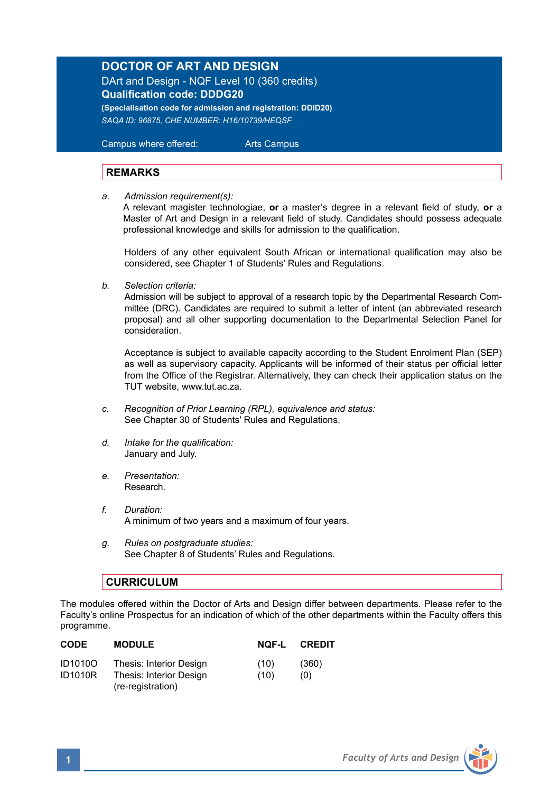## **DOCTOR OF ART AND DESIGN**

DArt and Design - NQF Level 10 (360 credits) **Qualification code: DDDG20 (Specialisation code for admission and registration: DDID20)**

*SAQA ID: 96875, CHE NUMBER: H16/10739/HEQSF*

 Campus where offered: Arts Campus

## **REMARKS**

*a. Admission requirement(s):*

A relevant magister technologiae, **or** a master's degree in a relevant field of study, **or** a Master of Art and Design in a relevant field of study. Candidates should possess adequate professional knowledge and skills for admission to the qualification.

Holders of any other equivalent South African or international qualification may also be considered, see Chapter 1 of Students' Rules and Regulations.

*b. Selection criteria:*

Admission will be subject to approval of a research topic by the Departmental Research Committee (DRC). Candidates are required to submit a letter of intent (an abbreviated research proposal) and all other supporting documentation to the Departmental Selection Panel for consideration.

Acceptance is subject to available capacity according to the Student Enrolment Plan (SEP) as well as supervisory capacity. Applicants will be informed of their status per official letter from the Office of the Registrar. Alternatively, they can check their application status on the TUT website, www.tut.ac.za.

- *c. Recognition of Prior Learning (RPL), equivalence and status:* See Chapter 30 of Students' Rules and Regulations.
- *d. Intake for the qualification:* January and July.
- *e. Presentation:*  Research.
- *f. Duration:* A minimum of two years and a maximum of four years.
- *g. Rules on postgraduate studies:* See Chapter 8 of Students' Rules and Regulations.

## **CURRICULUM**

The modules offered within the Doctor of Arts and Design differ between departments. Please refer to the Faculty's online Prospectus for an indication of which of the other departments within the Faculty offers this programme.

| <b>CODE</b>                      | <b>MODULE</b>                                      | NOF-L        | <b>CREDIT</b> |
|----------------------------------|----------------------------------------------------|--------------|---------------|
| <b>ID1010O</b><br><b>ID1010R</b> | Thesis: Interior Design<br>Thesis: Interior Design | (10)<br>(10) | (360)<br>(0)  |
|                                  | (re-registration)                                  |              |               |